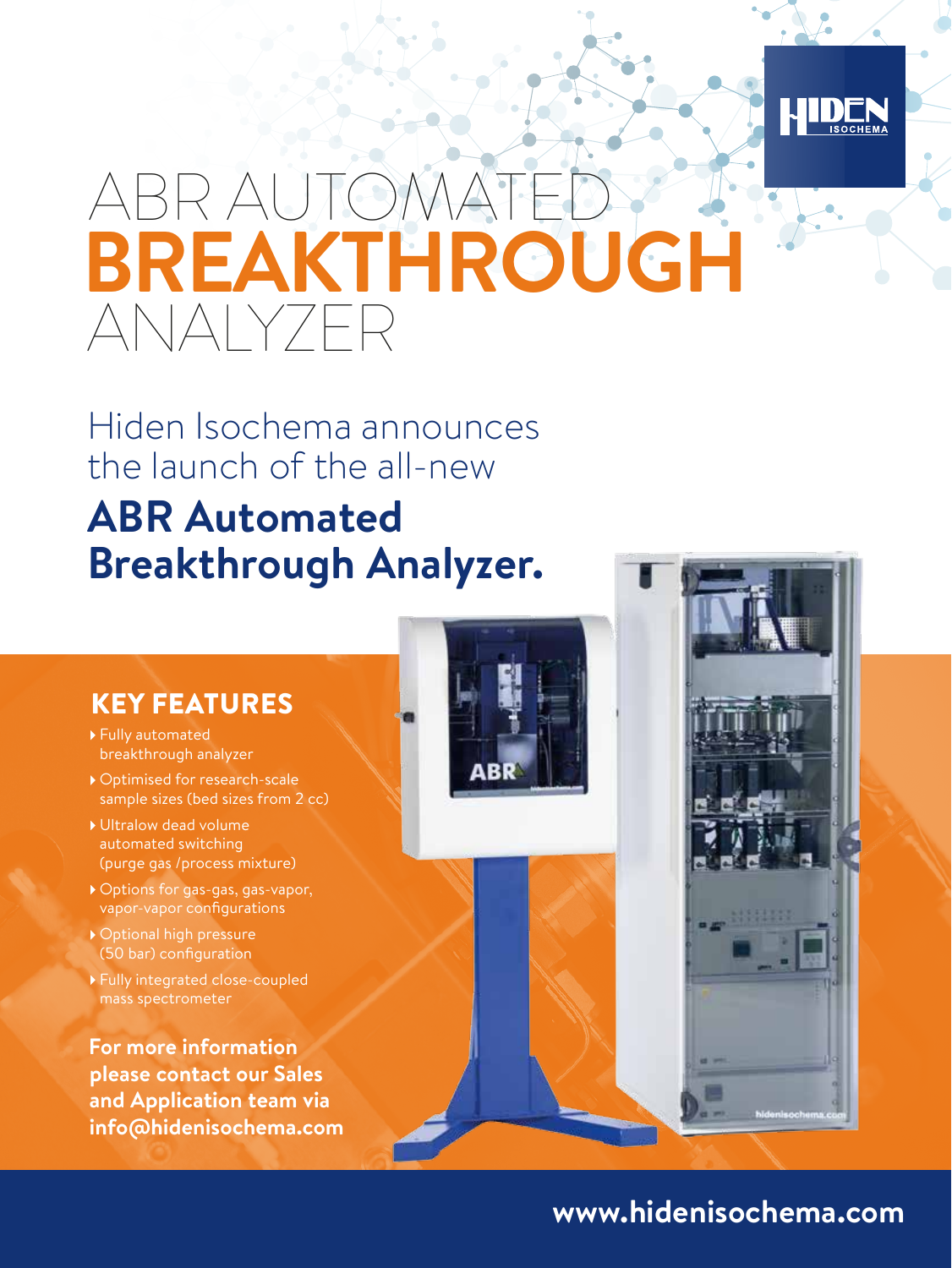

## ABR AUTOM ANALYZER **BREAKTHROUGH**

Hiden Isochema announces the launch of the all-new

## **ABR Automated Breakthrough Analyzer.**

## KEY FEATURES

- Fully automated breakthrough analyzer
- Optimised for research-scale sample sizes (bed sizes from 2 cc)
- Ultralow dead volume automated switching (purge gas /process mixture)
- Options for gas-gas, gas-vapor, vapor-vapor configurations
- Optional high pressure (50 bar) configuration
- Fully integrated close-coupled mass spectrometer

**For more information please contact our Sales and Application team via info@hidenisochema.com**